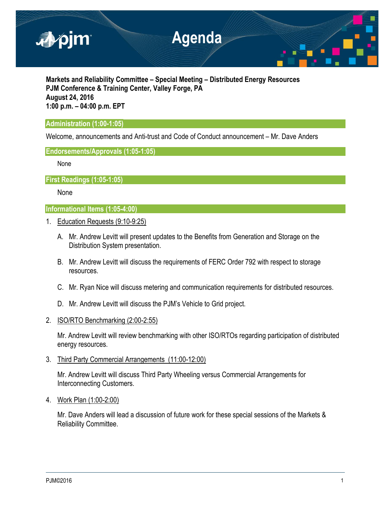

**Markets and Reliability Committee – Special Meeting – Distributed Energy Resources PJM Conference & Training Center, Valley Forge, PA August 24, 2016 1:00 p.m. – 04:00 p.m. EPT**

# **Administration (1:00-1:05)**

Welcome, announcements and Anti-trust and Code of Conduct announcement – Mr. Dave Anders

## **Endorsements/Approvals (1:05-1:05)**

None

**First Readings (1:05-1:05)**

None

# **Informational Items (1:05-4:00)**

- 1. Education Requests (9:10-9:25)
	- A. Mr. Andrew Levitt will present updates to the Benefits from Generation and Storage on the Distribution System presentation.
	- B. Mr. Andrew Levitt will discuss the requirements of FERC Order 792 with respect to storage resources.
	- C. Mr. Ryan Nice will discuss metering and communication requirements for distributed resources.
	- D. Mr. Andrew Levitt will discuss the PJM's Vehicle to Grid project.
- 2. ISO/RTO Benchmarking (2:00-2:55)

Mr. Andrew Levitt will review benchmarking with other ISO/RTOs regarding participation of distributed energy resources.

3. Third Party Commercial Arrangements (11:00-12:00)

Mr. Andrew Levitt will discuss Third Party Wheeling versus Commercial Arrangements for Interconnecting Customers.

4. Work Plan (1:00-2:00)

Mr. Dave Anders will lead a discussion of future work for these special sessions of the Markets & Reliability Committee.